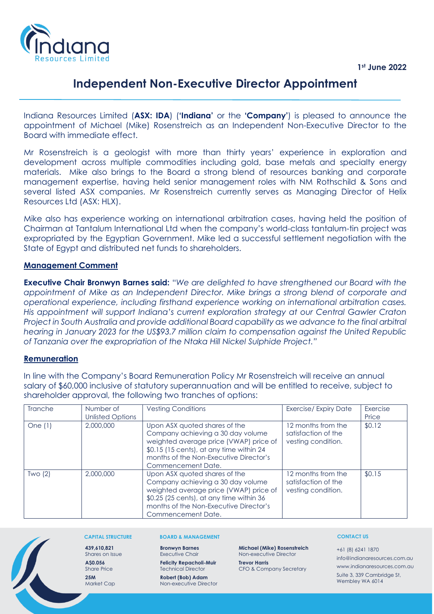

# **Independent Non-Executive Director Appointment**

Indiana Resources Limited (**ASX: IDA**) (**'Indiana'** or the **'Company'**) is pleased to announce the appointment of Michael (Mike) Rosenstreich as an Independent Non-Executive Director to the Board with immediate effect.

Mr Rosenstreich is a geologist with more than thirty years' experience in exploration and development across multiple commodities including gold, base metals and specialty energy materials. Mike also brings to the Board a strong blend of resources banking and corporate management expertise, having held senior management roles with NM Rothschild & Sons and several listed ASX companies. Mr Rosenstreich currently serves as Managing Director of Helix Resources Ltd (ASX: HLX).

Mike also has experience working on international arbitration cases, having held the position of Chairman at Tantalum International Ltd when the company's world-class tantalum-tin project was expropriated by the Egyptian Government. Mike led a successful settlement negotiation with the State of Egypt and distributed net funds to shareholders.

## **Management Comment**

**Executive Chair Bronwyn Barnes said:** "*We are delighted to have strengthened our Board with the appointment of Mike as an Independent Director. Mike brings a strong blend of corporate and operational experience, including firsthand experience working on international arbitration cases. His appointment will support Indiana's current exploration strategy at our Central Gawler Craton Project in South Australia and provide additional Board capability as we advance to the final arbitral hearing in January 2023 for the US\$93.7 million claim to compensation against the United Republic of Tanzania over the expropriation of the Ntaka Hill Nickel Sulphide Project."*

### **Remuneration**

In line with the Company's Board Remuneration Policy Mr Rosenstreich will receive an annual salary of \$60,000 inclusive of statutory superannuation and will be entitled to receive, subject to shareholder approval, the following two tranches of options:

| <b>Tranche</b> | Number of<br>Unlisted Options | <b>Vesting Conditions</b>                                                                                                                                                                                                | <b>Exercise/ Expiry Date</b>                                    | Exercise<br>Price |
|----------------|-------------------------------|--------------------------------------------------------------------------------------------------------------------------------------------------------------------------------------------------------------------------|-----------------------------------------------------------------|-------------------|
| One $(1)$      | 2,000,000                     | Upon ASX quoted shares of the<br>Company achieving a 30 day volume<br>weighted average price (VWAP) price of<br>\$0.15 (15 cents), at any time within 24<br>months of the Non-Executive Director's<br>Commencement Date. | 12 months from the<br>satisfaction of the<br>vesting condition. | \$0.12            |
| Two(2)         | 2,000,000                     | Upon ASX quoted shares of the<br>Company achieving a 30 day volume<br>weighted average price (VWAP) price of<br>\$0.25 (25 cents), at any time within 36<br>months of the Non-Executive Director's<br>Commencement Date. | 12 months from the<br>satisfaction of the<br>vesting condition. | \$0.15            |



#### **CAPITAL STRUCTURE**

**25M** Market Cap

**439,610,821** Shares on Issue **A\$0.056** Share Price

#### **BOARD & MANAGEMENT**

**Bronwyn Barnes** Executive Chair

**Felicity Repacholi-Muir** Technical Director **Robert (Bob) Adam**

Non-executive Director

**Michael (Mike) Rosenstreich** Non-executive Director

**Trevor Harris** CFO & Company Secretary

### **CONTACT US**

+61 (8) 6241 1870 info@indianaresources.com.au www.indianaresources.com.au Suite 3, 339 Cambridge St, Wembley WA 6014